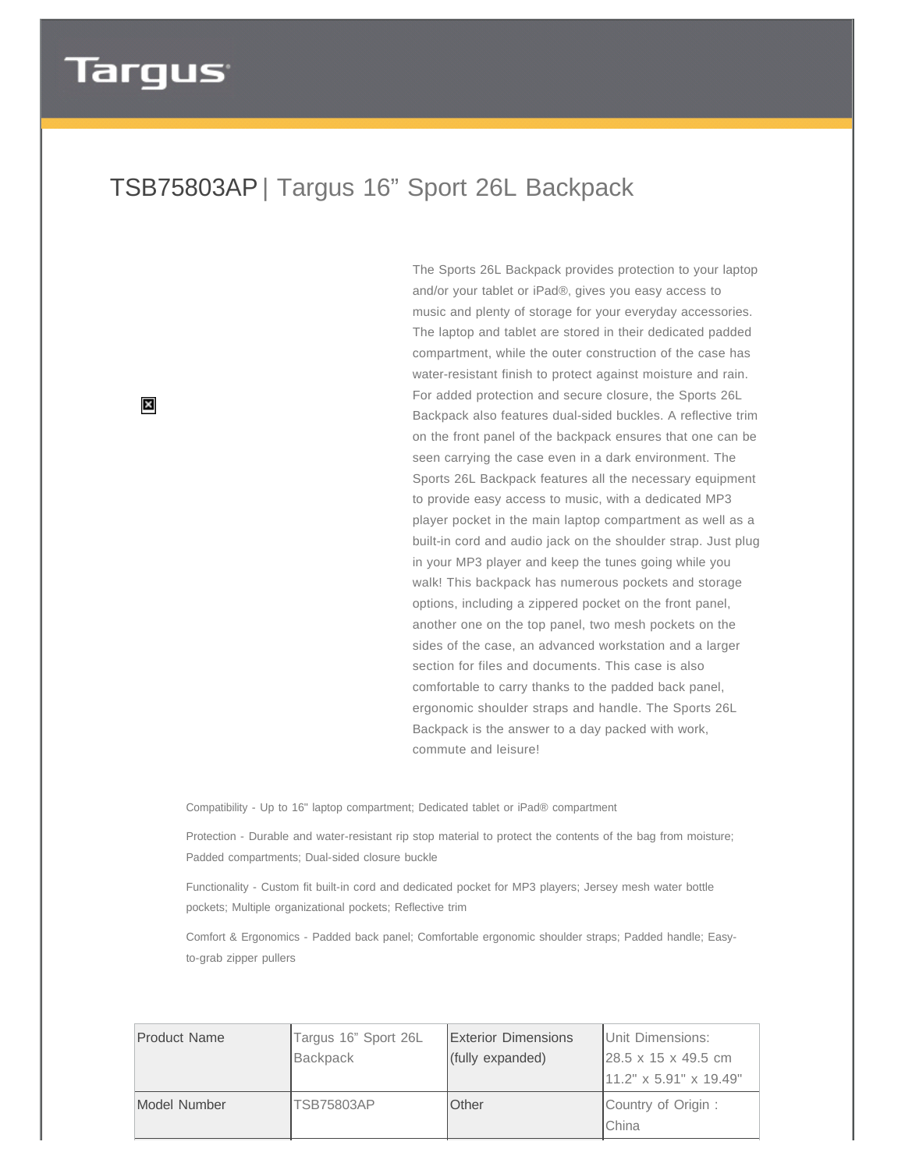## **Targus**

## TSB75803AP | Targus 16" Sport 26L Backpack

 $\boldsymbol{\times}$ 

The Sports 26L Backpack provides protection to your laptop and/or your tablet or iPad®, gives you easy access to music and plenty of storage for your everyday accessories. The laptop and tablet are stored in their dedicated padded compartment, while the outer construction of the case has water-resistant finish to protect against moisture and rain. For added protection and secure closure, the Sports 26L Backpack also features dual-sided buckles. A reflective trim on the front panel of the backpack ensures that one can be seen carrying the case even in a dark environment. The Sports 26L Backpack features all the necessary equipment to provide easy access to music, with a dedicated MP3 player pocket in the main laptop compartment as well as a built-in cord and audio jack on the shoulder strap. Just plug in your MP3 player and keep the tunes going while you walk! This backpack has numerous pockets and storage options, including a zippered pocket on the front panel, another one on the top panel, two mesh pockets on the sides of the case, an advanced workstation and a larger section for files and documents. This case is also comfortable to carry thanks to the padded back panel, ergonomic shoulder straps and handle. The Sports 26L Backpack is the answer to a day packed with work, commute and leisure!

Compatibility - Up to 16" laptop compartment; Dedicated tablet or iPad® compartment

Protection - Durable and water-resistant rip stop material to protect the contents of the bag from moisture; Padded compartments; Dual-sided closure buckle

Functionality - Custom fit built-in cord and dedicated pocket for MP3 players; Jersey mesh water bottle pockets; Multiple organizational pockets; Reflective trim

Comfort & Ergonomics - Padded back panel; Comfortable ergonomic shoulder straps; Padded handle; Easyto-grab zipper pullers

| Product Name | Targus 16" Sport 26L | Exterior Dimensions | Unit Dimensions:                 |
|--------------|----------------------|---------------------|----------------------------------|
|              | Backpack             | (fully expanded)    | $128.5 \times 15 \times 49.5$ cm |
|              |                      |                     | 11.2" x 5.91" x 19.49"           |
| Model Number | <b>TSB75803AP</b>    | Other               | Country of Origin:<br>IChina     |